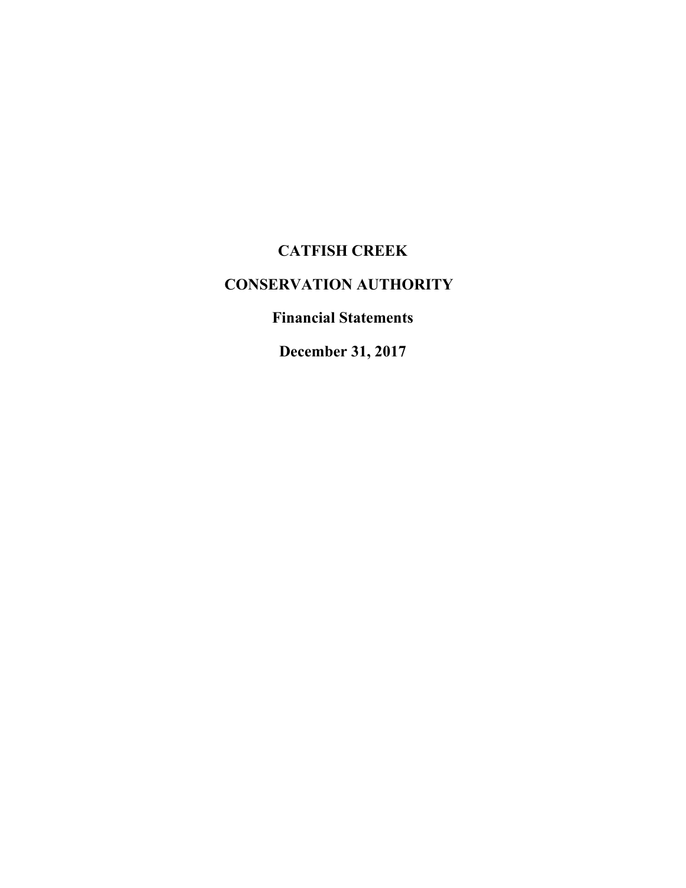# **CATFISH CREEK**

# **CONSERVATION AUTHORITY**

**Financial Statements**

**December 31, 2017**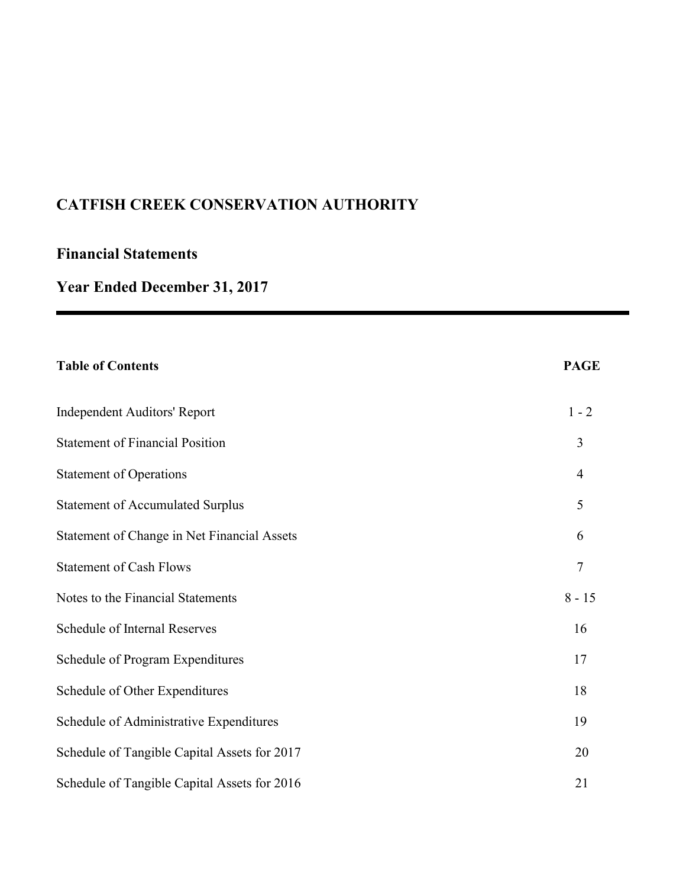# **Financial Statements**

# **Year Ended December 31, 2017**

| <b>Table of Contents</b>                     | <b>PAGE</b>    |
|----------------------------------------------|----------------|
| <b>Independent Auditors' Report</b>          | $1 - 2$        |
| <b>Statement of Financial Position</b>       | 3              |
| <b>Statement of Operations</b>               | $\overline{4}$ |
| <b>Statement of Accumulated Surplus</b>      | 5              |
| Statement of Change in Net Financial Assets  | 6              |
| <b>Statement of Cash Flows</b>               | $\overline{7}$ |
| Notes to the Financial Statements            | $8 - 15$       |
| Schedule of Internal Reserves                | 16             |
| Schedule of Program Expenditures             | 17             |
| Schedule of Other Expenditures               | 18             |
| Schedule of Administrative Expenditures      | 19             |
| Schedule of Tangible Capital Assets for 2017 | 20             |
| Schedule of Tangible Capital Assets for 2016 | 21             |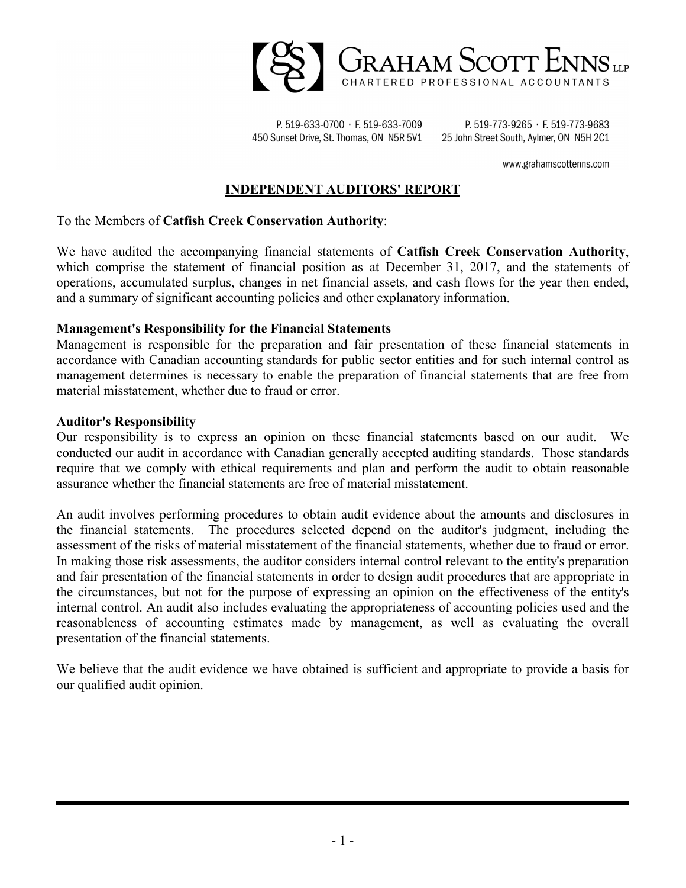

P. 519-633-0700 · F. 519-633-7009 450 Sunset Drive, St. Thomas, ON N5R 5V1

P. 519-773-9265 · F. 519-773-9683 25 John Street South, Aylmer, ON N5H 2C1

www.grahamscottenns.com

### **INDEPENDENT AUDITORS' REPORT**

To the Members of **Catfish Creek Conservation Authority**:

We have audited the accompanying financial statements of **Catfish Creek Conservation Authority**, which comprise the statement of financial position as at December 31, 2017, and the statements of operations, accumulated surplus, changes in net financial assets, and cash flows for the year then ended, and a summary of significant accounting policies and other explanatory information.

#### **Management's Responsibility for the Financial Statements**

Management is responsible for the preparation and fair presentation of these financial statements in accordance with Canadian accounting standards for public sector entities and for such internal control as management determines is necessary to enable the preparation of financial statements that are free from material misstatement, whether due to fraud or error.

#### **Auditor's Responsibility**

Our responsibility is to express an opinion on these financial statements based on our audit. We conducted our audit in accordance with Canadian generally accepted auditing standards. Those standards require that we comply with ethical requirements and plan and perform the audit to obtain reasonable assurance whether the financial statements are free of material misstatement.

An audit involves performing procedures to obtain audit evidence about the amounts and disclosures in the financial statements. The procedures selected depend on the auditor's judgment, including the assessment of the risks of material misstatement of the financial statements, whether due to fraud or error. In making those risk assessments, the auditor considers internal control relevant to the entity's preparation and fair presentation of the financial statements in order to design audit procedures that are appropriate in the circumstances, but not for the purpose of expressing an opinion on the effectiveness of the entity's internal control. An audit also includes evaluating the appropriateness of accounting policies used and the reasonableness of accounting estimates made by management, as well as evaluating the overall presentation of the financial statements.

We believe that the audit evidence we have obtained is sufficient and appropriate to provide a basis for our qualified audit opinion.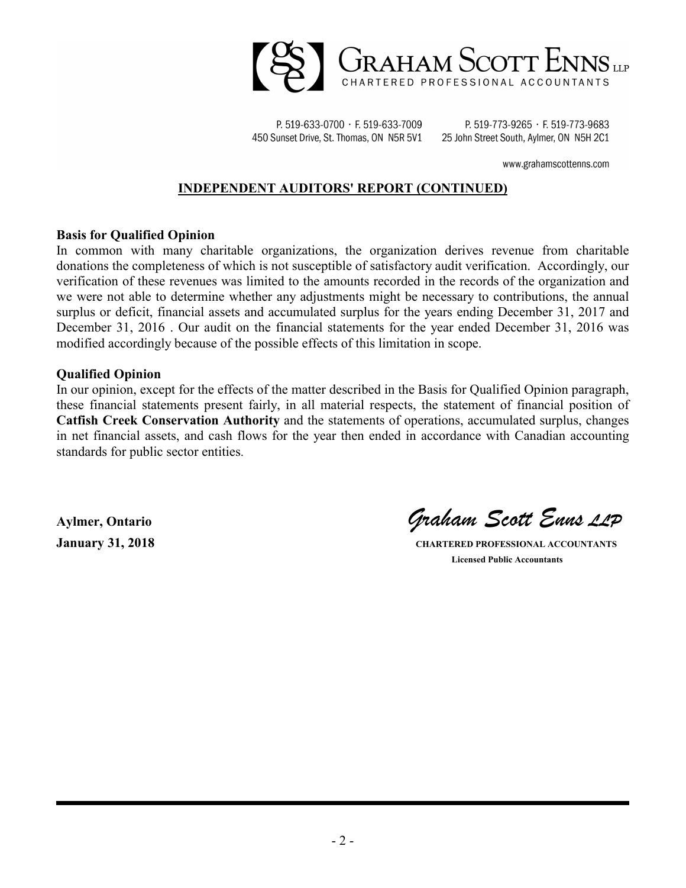

P. 519-633-0700 · F. 519-633-7009 450 Sunset Drive, St. Thomas, ON N5R 5V1

P. 519-773-9265 · F. 519-773-9683 25 John Street South, Aylmer, ON N5H 2C1

www.grahamscottenns.com

### **INDEPENDENT AUDITORS' REPORT (CONTINUED)**

#### **Basis for Qualified Opinion**

In common with many charitable organizations, the organization derives revenue from charitable donations the completeness of which is not susceptible of satisfactory audit verification. Accordingly, our verification of these revenues was limited to the amounts recorded in the records of the organization and we were not able to determine whether any adjustments might be necessary to contributions, the annual surplus or deficit, financial assets and accumulated surplus for the years ending December 31, 2017 and December 31, 2016 . Our audit on the financial statements for the year ended December 31, 2016 was modified accordingly because of the possible effects of this limitation in scope.

#### **Qualified Opinion**

In our opinion, except for the effects of the matter described in the Basis for Qualified Opinion paragraph, these financial statements present fairly, in all material respects, the statement of financial position of **Catfish Creek Conservation Authority** and the statements of operations, accumulated surplus, changes in net financial assets, and cash flows for the year then ended in accordance with Canadian accounting standards for public sector entities.

**Aylmer, Ontario** *Graham Scott Enns LLP*

**January 31, 2018 CHARTERED PROFESSIONAL ACCOUNTANTS Licensed Public Accountants**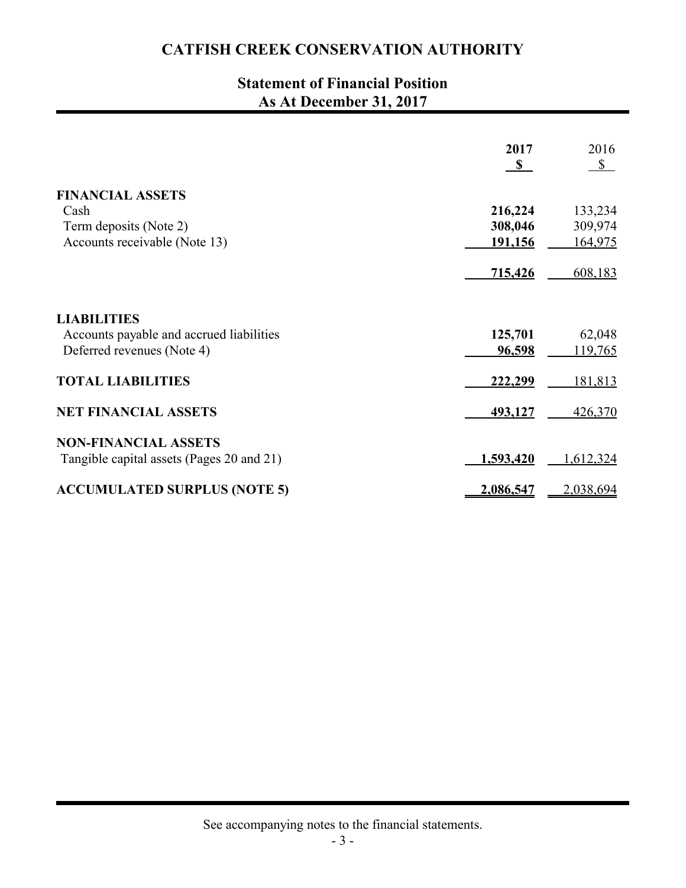# **Statement of Financial Position As At December 31, 2017**

|                                           | 2017         | 2016      |
|-------------------------------------------|--------------|-----------|
|                                           | $\mathbf{s}$ | $S$       |
| <b>FINANCIAL ASSETS</b>                   |              |           |
| Cash                                      | 216,224      | 133,234   |
| Term deposits (Note 2)                    | 308,046      | 309,974   |
| Accounts receivable (Note 13)             | 191,156      | 164,975   |
|                                           | 715,426      | 608,183   |
| <b>LIABILITIES</b>                        |              |           |
| Accounts payable and accrued liabilities  | 125,701      | 62,048    |
| Deferred revenues (Note 4)                | 96,598       | 119,765   |
| <b>TOTAL LIABILITIES</b>                  | 222,299      | 181,813   |
| <b>NET FINANCIAL ASSETS</b>               | 493,127      | 426,370   |
| <b>NON-FINANCIAL ASSETS</b>               |              |           |
| Tangible capital assets (Pages 20 and 21) | 1,593,420    | 1,612,324 |
| <b>ACCUMULATED SURPLUS (NOTE 5)</b>       | 2,086,547    | 2,038,694 |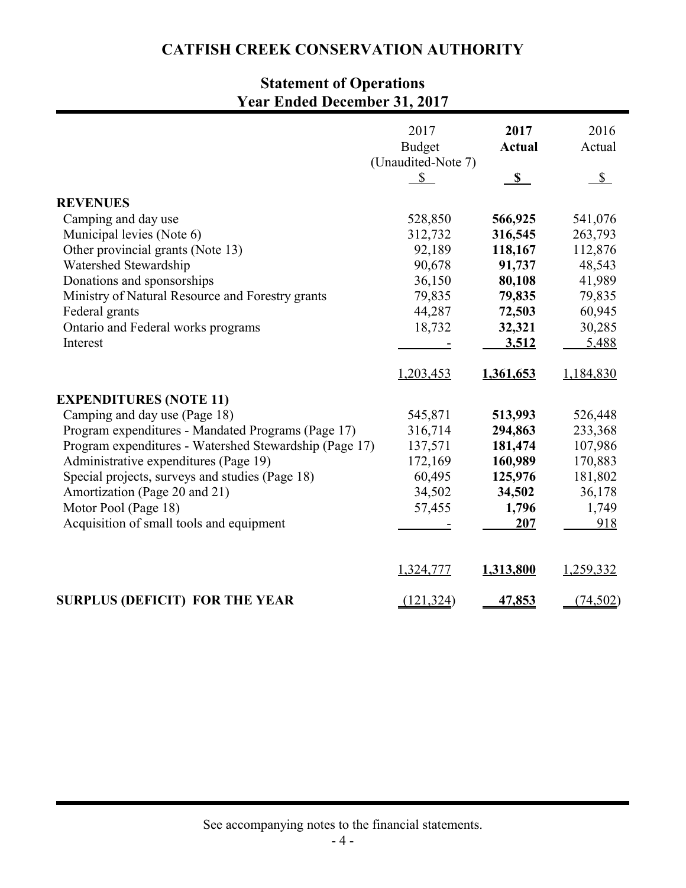# **Statement of Operations Year Ended December 31, 2017**

|                                                        | 2017<br><b>Budget</b><br>(Unaudited-Note 7) | 2017<br><b>Actual</b> | 2016<br>Actual |
|--------------------------------------------------------|---------------------------------------------|-----------------------|----------------|
|                                                        | $\mathbb{S}$                                | $\mathbf S$           | $\mathbb{S}$   |
| <b>REVENUES</b>                                        |                                             |                       |                |
| Camping and day use                                    | 528,850                                     | 566,925               | 541,076        |
| Municipal levies (Note 6)                              | 312,732                                     | 316,545               | 263,793        |
| Other provincial grants (Note 13)                      | 92,189                                      | 118,167               | 112,876        |
| Watershed Stewardship                                  | 90,678                                      | 91,737                | 48,543         |
| Donations and sponsorships                             | 36,150                                      | 80,108                | 41,989         |
| Ministry of Natural Resource and Forestry grants       | 79,835                                      | 79,835                | 79,835         |
| Federal grants                                         | 44,287                                      | 72,503                | 60,945         |
| Ontario and Federal works programs                     | 18,732                                      | 32,321                | 30,285         |
| Interest                                               |                                             | 3,512                 | 5,488          |
|                                                        | 1,203,453                                   | 1,361,653             | 1,184,830      |
| <b>EXPENDITURES (NOTE 11)</b>                          |                                             |                       |                |
| Camping and day use (Page 18)                          | 545,871                                     | 513,993               | 526,448        |
| Program expenditures - Mandated Programs (Page 17)     | 316,714                                     | 294,863               | 233,368        |
| Program expenditures - Watershed Stewardship (Page 17) | 137,571                                     | 181,474               | 107,986        |
| Administrative expenditures (Page 19)                  | 172,169                                     | 160,989               | 170,883        |
| Special projects, surveys and studies (Page 18)        | 60,495                                      | 125,976               | 181,802        |
| Amortization (Page 20 and 21)                          | 34,502                                      | 34,502                | 36,178         |
| Motor Pool (Page 18)                                   | 57,455                                      | 1,796                 | 1,749          |
| Acquisition of small tools and equipment               |                                             | 207                   | 918            |
|                                                        | 1,324,777                                   | 1,313,800             | 1,259,332      |
| <b>SURPLUS (DEFICIT) FOR THE YEAR</b>                  | (121, 324)                                  | 47,853                | (74, 502)      |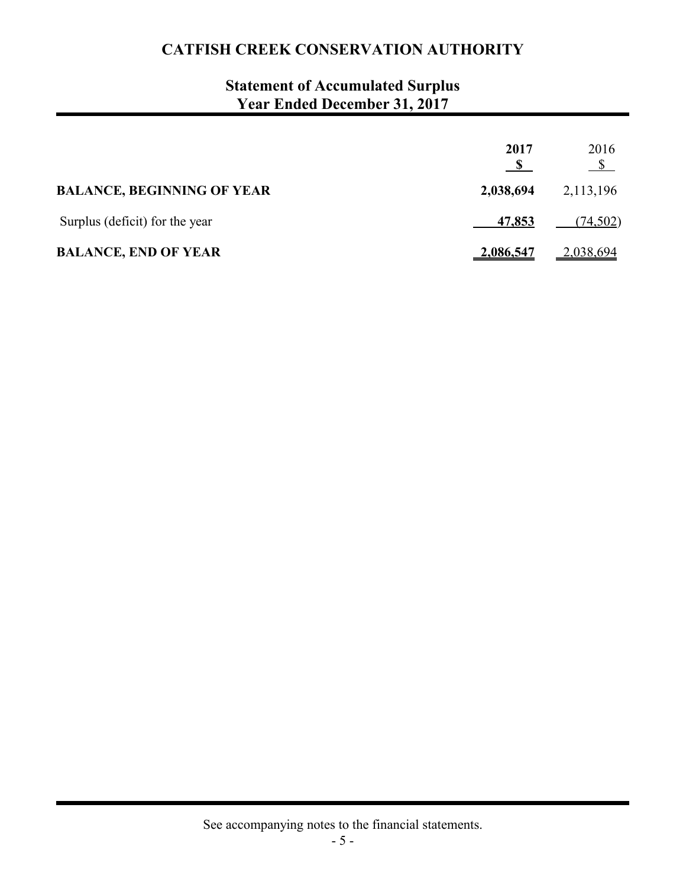# **Statement of Accumulated Surplus Year Ended December 31, 2017**

|                                   | 2017             | 2016<br>$\frac{1}{2}$ |
|-----------------------------------|------------------|-----------------------|
| <b>BALANCE, BEGINNING OF YEAR</b> | 2,038,694        | 2,113,196             |
| Surplus (deficit) for the year    | <u>47,853</u>    | (74,502)              |
| <b>BALANCE, END OF YEAR</b>       | <u>2,086,547</u> | <u>2,038,694</u>      |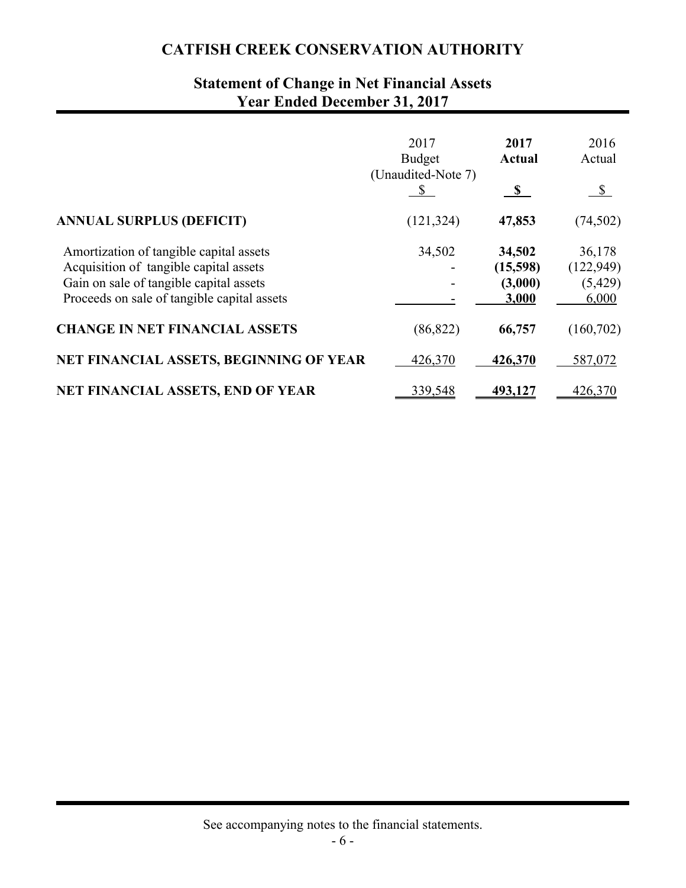# **Statement of Change in Net Financial Assets Year Ended December 31, 2017**

|                                                                                                                                                                             | 2017<br><b>Budget</b><br>(Unaudited-Note 7) | 2017<br><b>Actual</b><br>S             | 2016<br>Actual<br>$\sqrt{2}$              |
|-----------------------------------------------------------------------------------------------------------------------------------------------------------------------------|---------------------------------------------|----------------------------------------|-------------------------------------------|
| <b>ANNUAL SURPLUS (DEFICIT)</b>                                                                                                                                             | (121, 324)                                  | 47,853                                 | (74, 502)                                 |
| Amortization of tangible capital assets<br>Acquisition of tangible capital assets<br>Gain on sale of tangible capital assets<br>Proceeds on sale of tangible capital assets | 34,502                                      | 34,502<br>(15,598)<br>(3,000)<br>3,000 | 36,178<br>(122, 949)<br>(5, 429)<br>6,000 |
| <b>CHANGE IN NET FINANCIAL ASSETS</b>                                                                                                                                       | (86, 822)                                   | 66,757                                 | (160, 702)                                |
| NET FINANCIAL ASSETS, BEGINNING OF YEAR                                                                                                                                     | 426,370                                     | 426,370                                | 587,072                                   |
| NET FINANCIAL ASSETS, END OF YEAR                                                                                                                                           | 339,548                                     | 493,127                                | 426,370                                   |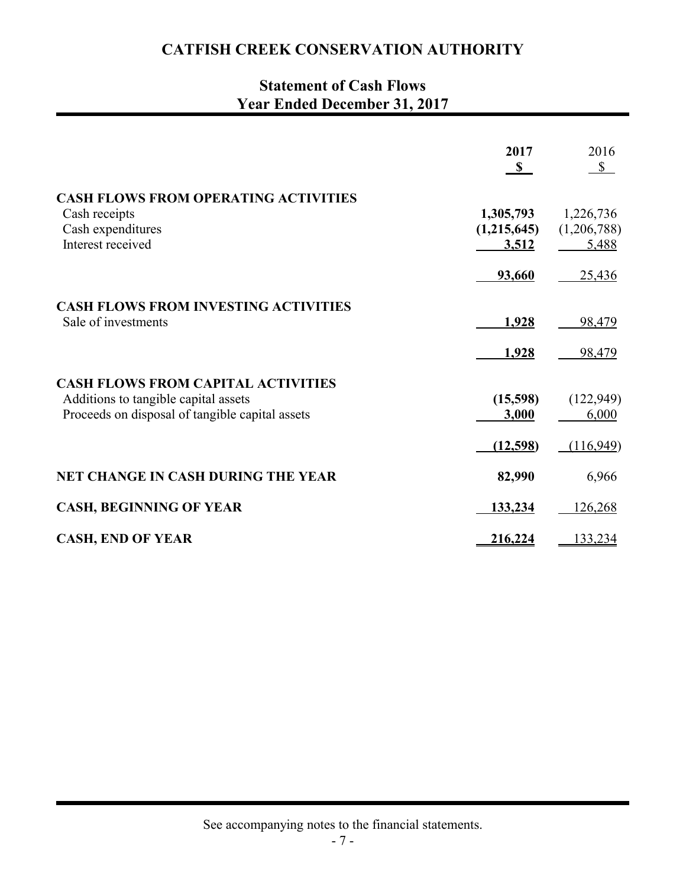# **Statement of Cash Flows Year Ended December 31, 2017**

|                                                                                                                                      | 2017<br>$\mathbf{s}$              | 2016<br>$\mathbb{S}$              |
|--------------------------------------------------------------------------------------------------------------------------------------|-----------------------------------|-----------------------------------|
| <b>CASH FLOWS FROM OPERATING ACTIVITIES</b><br>Cash receipts<br>Cash expenditures<br>Interest received                               | 1,305,793<br>(1,215,645)<br>3,512 | 1,226,736<br>(1,206,788)<br>5,488 |
|                                                                                                                                      | 93,660                            | 25,436                            |
| <b>CASH FLOWS FROM INVESTING ACTIVITIES</b><br>Sale of investments                                                                   | 1,928                             | 98,479                            |
|                                                                                                                                      | 1,928                             | 98,479                            |
| <b>CASH FLOWS FROM CAPITAL ACTIVITIES</b><br>Additions to tangible capital assets<br>Proceeds on disposal of tangible capital assets | (15,598)<br>3,000                 | (122, 949)<br>6,000               |
|                                                                                                                                      | (12,598)                          | (116,949)                         |
| <b>NET CHANGE IN CASH DURING THE YEAR</b>                                                                                            | 82,990                            | 6,966                             |
| <b>CASH, BEGINNING OF YEAR</b>                                                                                                       | 133,234                           | 126,268                           |
| <b>CASH, END OF YEAR</b>                                                                                                             | 216,224                           | 133,234                           |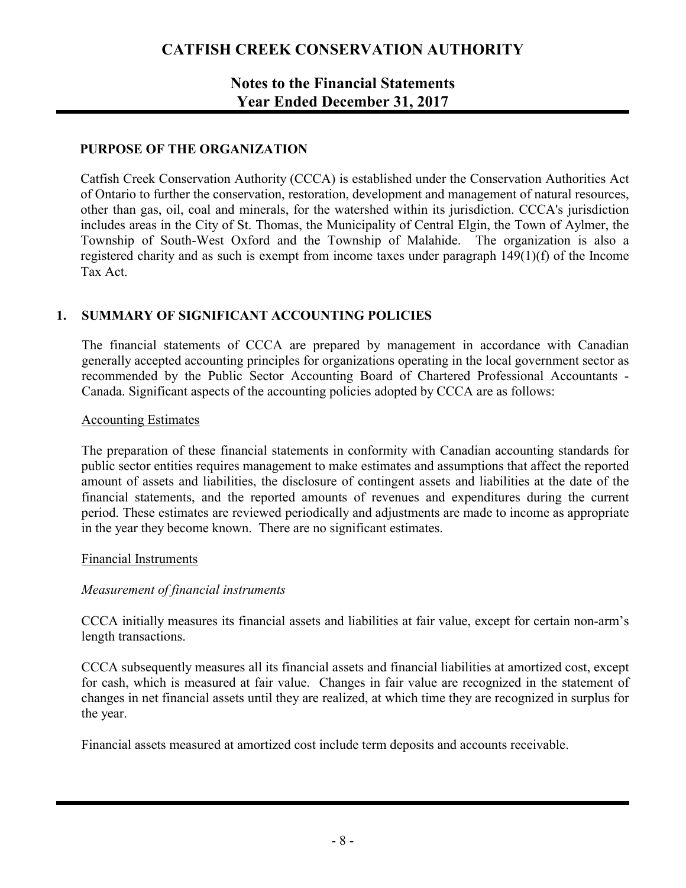## **Notes to the Financial Statements Year Ended December 31, 2017**

### **PURPOSE OF THE ORGANIZATION**

Catfish Creek Conservation Authority (CCCA) is established under the Conservation Authorities Act of Ontario to further the conservation, restoration, development and management of natural resources, other than gas, oil, coal and minerals, for the watershed within its jurisdiction. CCCA's jurisdiction includes areas in the City of St. Thomas, the Municipality of Central Elgin, the Town of Aylmer, the Township of South-West Oxford and the Township of Malahide. The organization is also a registered charity and as such is exempt from income taxes under paragraph 149(1)(f) of the Income Tax Act.

### **1. SUMMARY OF SIGNIFICANT ACCOUNTING POLICIES**

The financial statements of CCCA are prepared by management in accordance with Canadian generally accepted accounting principles for organizations operating in the local government sector as recommended by the Public Sector Accounting Board of Chartered Professional Accountants - Canada. Significant aspects of the accounting policies adopted by CCCA are as follows:

#### Accounting Estimates

The preparation of these financial statements in conformity with Canadian accounting standards for public sector entities requires management to make estimates and assumptions that affect the reported amount of assets and liabilities, the disclosure of contingent assets and liabilities at the date of the financial statements, and the reported amounts of revenues and expenditures during the current period. These estimates are reviewed periodically and adjustments are made to income as appropriate in the year they become known. There are no significant estimates.

#### Financial Instruments

#### *Measurement of financial instruments*

CCCA initially measures its financial assets and liabilities at fair value, except for certain non-arm's length transactions.

CCCA subsequently measures all its financial assets and financial liabilities at amortized cost, except for cash, which is measured at fair value. Changes in fair value are recognized in the statement of changes in net financial assets until they are realized, at which time they are recognized in surplus for the year.

Financial assets measured at amortized cost include term deposits and accounts receivable.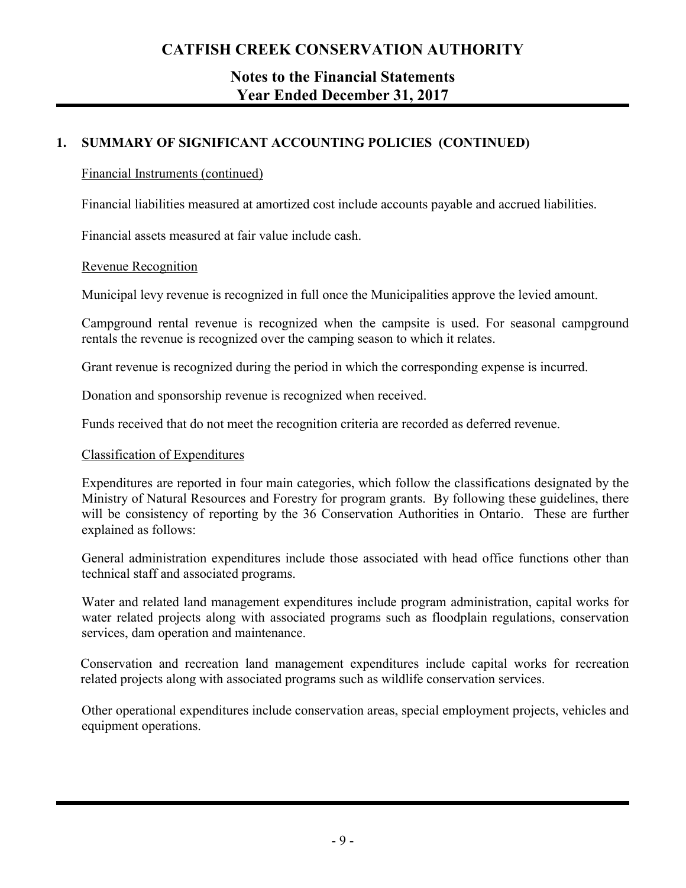## **Notes to the Financial Statements Year Ended December 31, 2017**

## **1. SUMMARY OF SIGNIFICANT ACCOUNTING POLICIES (CONTINUED)**

### Financial Instruments (continued)

Financial liabilities measured at amortized cost include accounts payable and accrued liabilities.

Financial assets measured at fair value include cash.

### Revenue Recognition

Municipal levy revenue is recognized in full once the Municipalities approve the levied amount.

Campground rental revenue is recognized when the campsite is used. For seasonal campground rentals the revenue is recognized over the camping season to which it relates.

Grant revenue is recognized during the period in which the corresponding expense is incurred.

Donation and sponsorship revenue is recognized when received.

Funds received that do not meet the recognition criteria are recorded as deferred revenue.

### Classification of Expenditures

Expenditures are reported in four main categories, which follow the classifications designated by the Ministry of Natural Resources and Forestry for program grants. By following these guidelines, there will be consistency of reporting by the 36 Conservation Authorities in Ontario. These are further explained as follows:

General administration expenditures include those associated with head office functions other than technical staff and associated programs.

Water and related land management expenditures include program administration, capital works for water related projects along with associated programs such as floodplain regulations, conservation services, dam operation and maintenance.

Conservation and recreation land management expenditures include capital works for recreation related projects along with associated programs such as wildlife conservation services.

Other operational expenditures include conservation areas, special employment projects, vehicles and equipment operations.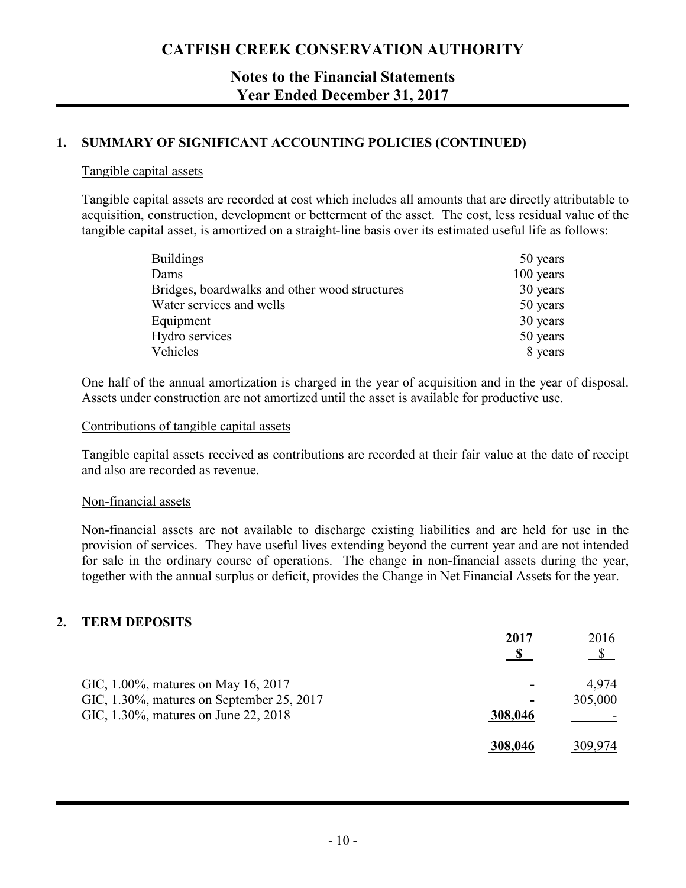## **Notes to the Financial Statements Year Ended December 31, 2017**

### **1. SUMMARY OF SIGNIFICANT ACCOUNTING POLICIES (CONTINUED)**

#### Tangible capital assets

Tangible capital assets are recorded at cost which includes all amounts that are directly attributable to acquisition, construction, development or betterment of the asset. The cost, less residual value of the tangible capital asset, is amortized on a straight-line basis over its estimated useful life as follows:

| <b>Buildings</b>                              | 50 years  |
|-----------------------------------------------|-----------|
| Dams                                          | 100 years |
| Bridges, boardwalks and other wood structures | 30 years  |
| Water services and wells                      | 50 years  |
| Equipment                                     | 30 years  |
| Hydro services                                | 50 years  |
| Vehicles                                      | 8 years   |

One half of the annual amortization is charged in the year of acquisition and in the year of disposal. Assets under construction are not amortized until the asset is available for productive use.

### Contributions of tangible capital assets

Tangible capital assets received as contributions are recorded at their fair value at the date of receipt and also are recorded as revenue.

#### Non-financial assets

Non-financial assets are not available to discharge existing liabilities and are held for use in the provision of services. They have useful lives extending beyond the current year and are not intended for sale in the ordinary course of operations. The change in non-financial assets during the year, together with the annual surplus or deficit, provides the Change in Net Financial Assets for the year.

### **2. TERM DEPOSITS**

|                                           | 2017                     | 2016<br>$\mathcal{S}$ |
|-------------------------------------------|--------------------------|-----------------------|
| GIC, 1.00%, matures on May 16, 2017       |                          | 4.974                 |
| GIC, 1.30%, matures on September 25, 2017 | $\overline{\phantom{0}}$ | 305,000               |
| GIC, 1.30%, matures on June 22, 2018      | 308,046                  |                       |
|                                           | 308,046                  | 309,974               |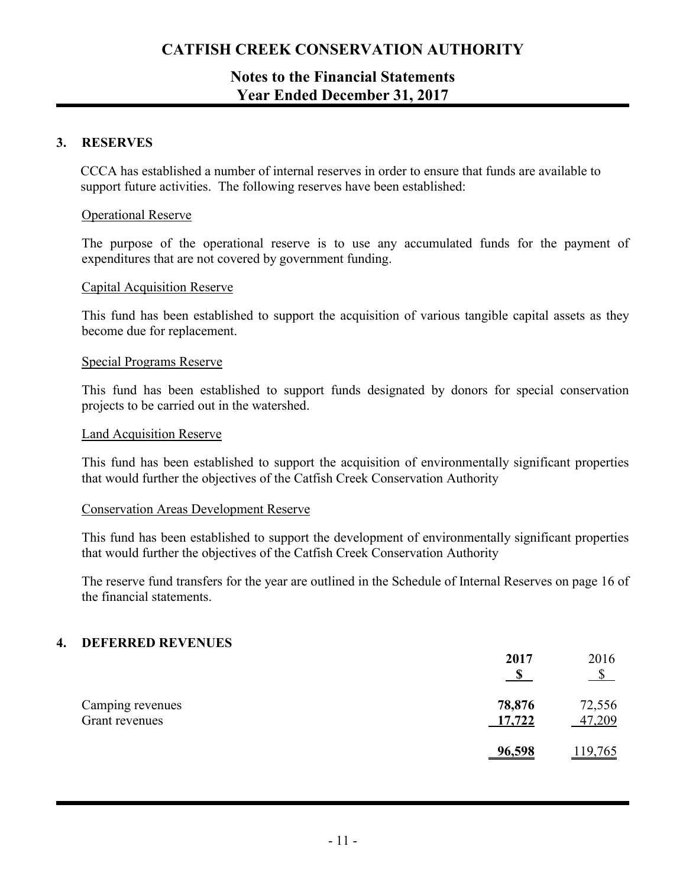## **Notes to the Financial Statements Year Ended December 31, 2017**

### **3. RESERVES**

CCCA has established a number of internal reserves in order to ensure that funds are available to support future activities. The following reserves have been established:

#### Operational Reserve

The purpose of the operational reserve is to use any accumulated funds for the payment of expenditures that are not covered by government funding.

#### Capital Acquisition Reserve

This fund has been established to support the acquisition of various tangible capital assets as they become due for replacement.

#### Special Programs Reserve

This fund has been established to support funds designated by donors for special conservation projects to be carried out in the watershed.

#### Land Acquisition Reserve

This fund has been established to support the acquisition of environmentally significant properties that would further the objectives of the Catfish Creek Conservation Authority

#### Conservation Areas Development Reserve

This fund has been established to support the development of environmentally significant properties that would further the objectives of the Catfish Creek Conservation Authority

The reserve fund transfers for the year are outlined in the Schedule of Internal Reserves on page 16 of the financial statements.

#### **4. DEFERRED REVENUES**

|                                    | 2017             | 2016             |
|------------------------------------|------------------|------------------|
| Camping revenues<br>Grant revenues | 78,876<br>17,722 | 72,556<br>47,209 |
|                                    | 96,598           | <u>119,765</u>   |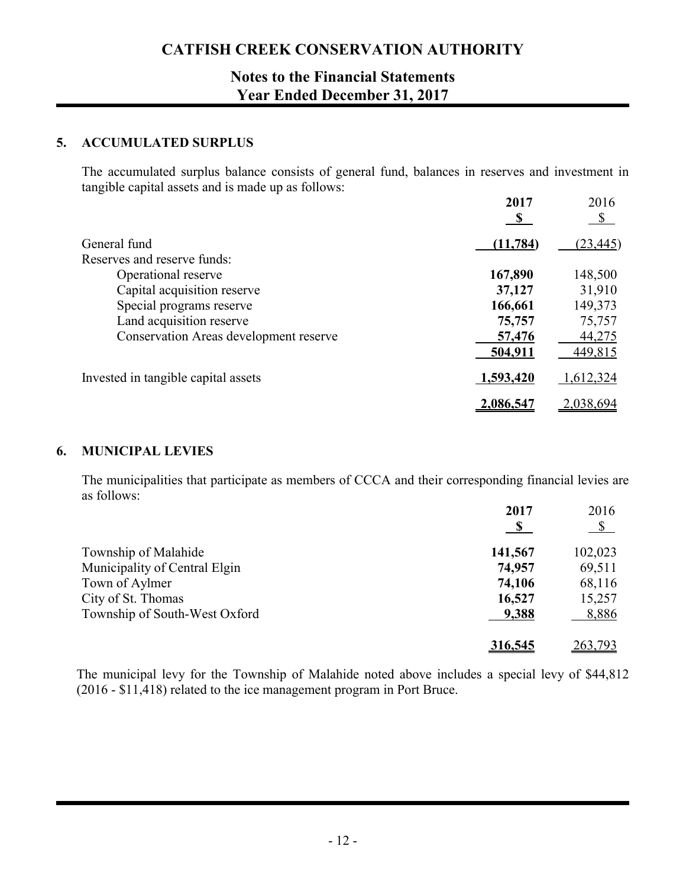## **Notes to the Financial Statements Year Ended December 31, 2017**

### **5. ACCUMULATED SURPLUS**

The accumulated surplus balance consists of general fund, balances in reserves and investment in tangible capital assets and is made up as follows:

|                                               | 2017<br>$\mathbf{\mathcal{S}}$ | 2016<br>\$ |
|-----------------------------------------------|--------------------------------|------------|
| General fund                                  | (11, 784)                      | (23, 445)  |
| Reserves and reserve funds:                   |                                |            |
| Operational reserve                           | 167,890                        | 148,500    |
| Capital acquisition reserve                   | 37,127                         | 31,910     |
| Special programs reserve                      | 166,661                        | 149,373    |
| Land acquisition reserve                      | 75,757                         | 75,757     |
| <b>Conservation Areas development reserve</b> | 57,476                         | 44,275     |
|                                               | 504,911                        | 449,815    |
| Invested in tangible capital assets           | 1,593,420                      | 1,612,324  |
|                                               | 2,086,547                      | 2,038,694  |

### **6. MUNICIPAL LEVIES**

The municipalities that participate as members of CCCA and their corresponding financial levies are as follows:

|                               | 2017<br><u>S</u> | 2016<br>$\frac{S}{\sqrt{2}}$ |
|-------------------------------|------------------|------------------------------|
| Township of Malahide          | 141,567          | 102,023                      |
| Municipality of Central Elgin | 74,957           | 69,511                       |
| Town of Aylmer                | 74,106           | 68,116                       |
| City of St. Thomas            | 16,527           | 15,257                       |
| Township of South-West Oxford | 9,388            | 8,886                        |
|                               | 316,545          | 263,793                      |

The municipal levy for the Township of Malahide noted above includes a special levy of \$44,812 (2016 - \$11,418) related to the ice management program in Port Bruce.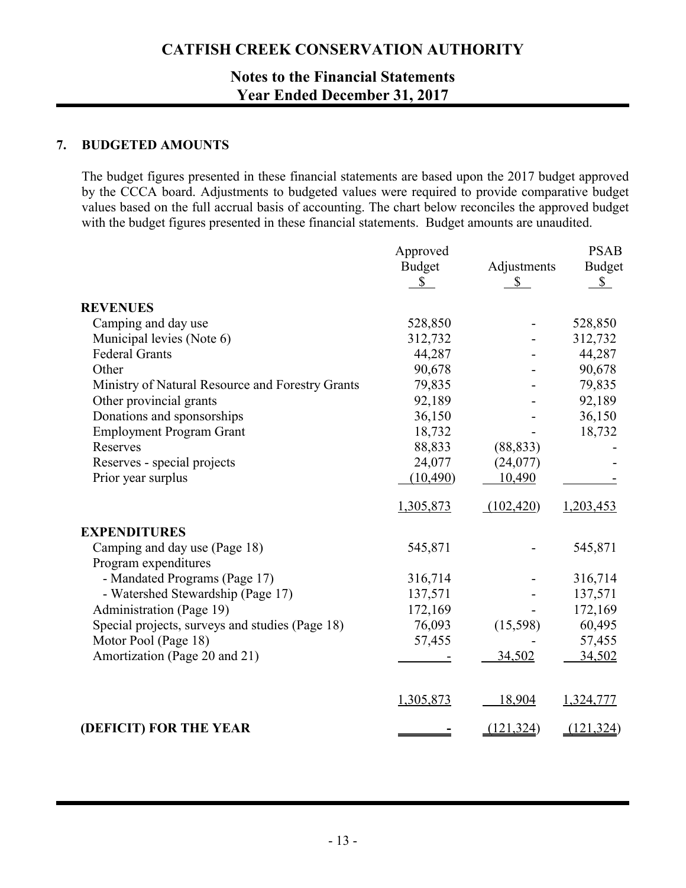## **Notes to the Financial Statements Year Ended December 31, 2017**

### **7. BUDGETED AMOUNTS**

The budget figures presented in these financial statements are based upon the 2017 budget approved by the CCCA board. Adjustments to budgeted values were required to provide comparative budget values based on the full accrual basis of accounting. The chart below reconciles the approved budget with the budget figures presented in these financial statements. Budget amounts are unaudited.

|                                                  | Approved      |              | <b>PSAB</b>   |
|--------------------------------------------------|---------------|--------------|---------------|
|                                                  | <b>Budget</b> | Adjustments  | <b>Budget</b> |
|                                                  | $\mathbb{S}$  | $\mathbb{S}$ | $\mathbb{S}$  |
| <b>REVENUES</b>                                  |               |              |               |
| Camping and day use                              | 528,850       |              | 528,850       |
| Municipal levies (Note 6)                        | 312,732       |              | 312,732       |
| <b>Federal Grants</b>                            | 44,287        |              | 44,287        |
| Other                                            | 90,678        |              | 90,678        |
| Ministry of Natural Resource and Forestry Grants | 79,835        |              | 79,835        |
| Other provincial grants                          | 92,189        |              | 92,189        |
| Donations and sponsorships                       | 36,150        |              | 36,150        |
| <b>Employment Program Grant</b>                  | 18,732        |              | 18,732        |
| Reserves                                         | 88,833        | (88, 833)    |               |
| Reserves - special projects                      | 24,077        | (24,077)     |               |
| Prior year surplus                               | (10, 490)     | 10,490       |               |
|                                                  | 1,305,873     | (102, 420)   | 1,203,453     |
| <b>EXPENDITURES</b>                              |               |              |               |
| Camping and day use (Page 18)                    | 545,871       |              | 545,871       |
| Program expenditures                             |               |              |               |
| - Mandated Programs (Page 17)                    | 316,714       |              | 316,714       |
| - Watershed Stewardship (Page 17)                | 137,571       |              | 137,571       |
| Administration (Page 19)                         | 172,169       |              | 172,169       |
| Special projects, surveys and studies (Page 18)  | 76,093        | (15,598)     | 60,495        |
| Motor Pool (Page 18)                             | 57,455        |              | 57,455        |
| Amortization (Page 20 and 21)                    |               | 34,502       | 34,502        |
|                                                  | 1,305,873     | 18,904       | 1,324,777     |
| (DEFICIT) FOR THE YEAR                           |               | (121, 324)   | (121, 324)    |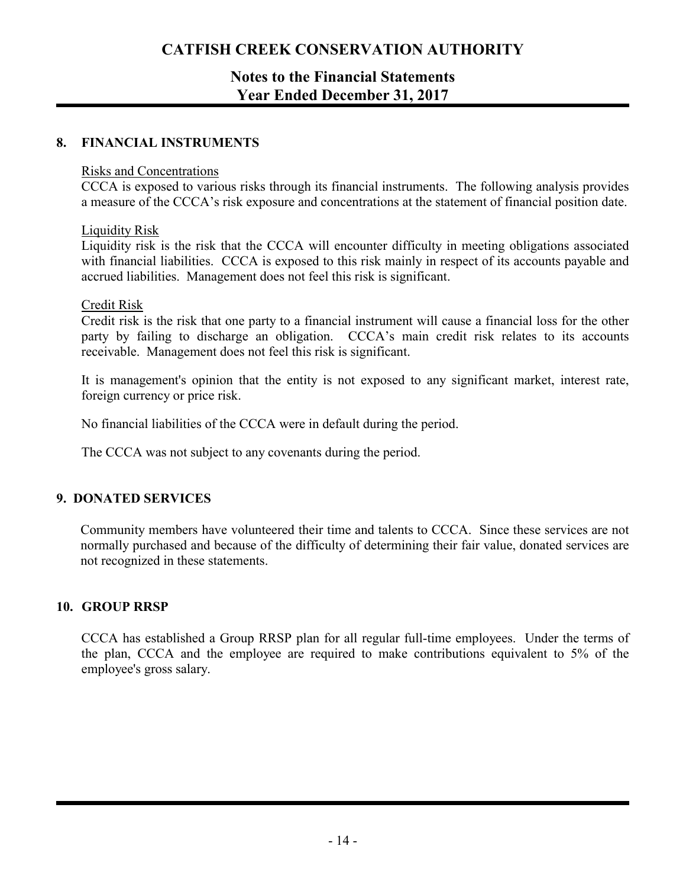## **Notes to the Financial Statements Year Ended December 31, 2017**

### **8. FINANCIAL INSTRUMENTS**

#### Risks and Concentrations

CCCA is exposed to various risks through its financial instruments. The following analysis provides a measure of the CCCA's risk exposure and concentrations at the statement of financial position date.

#### Liquidity Risk

Liquidity risk is the risk that the CCCA will encounter difficulty in meeting obligations associated with financial liabilities. CCCA is exposed to this risk mainly in respect of its accounts payable and accrued liabilities. Management does not feel this risk is significant.

### Credit Risk

Credit risk is the risk that one party to a financial instrument will cause a financial loss for the other party by failing to discharge an obligation. CCCA's main credit risk relates to its accounts receivable. Management does not feel this risk is significant.

It is management's opinion that the entity is not exposed to any significant market, interest rate, foreign currency or price risk.

No financial liabilities of the CCCA were in default during the period.

The CCCA was not subject to any covenants during the period.

### **9. DONATED SERVICES**

Community members have volunteered their time and talents to CCCA. Since these services are not normally purchased and because of the difficulty of determining their fair value, donated services are not recognized in these statements.

### **10. GROUP RRSP**

CCCA has established a Group RRSP plan for all regular full-time employees. Under the terms of the plan, CCCA and the employee are required to make contributions equivalent to 5% of the employee's gross salary.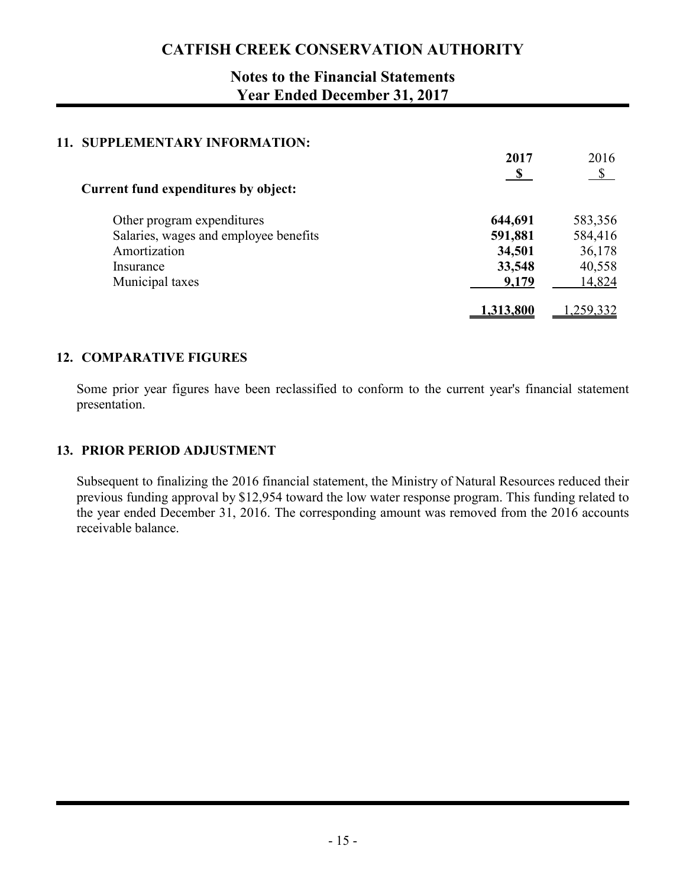## **Notes to the Financial Statements Year Ended December 31, 2017**

### **11. SUPPLEMENTARY INFORMATION:**

|                                             | 2017      | 2016                      |
|---------------------------------------------|-----------|---------------------------|
|                                             |           | $\boldsymbol{\mathsf{S}}$ |
| <b>Current fund expenditures by object:</b> |           |                           |
| Other program expenditures                  | 644,691   | 583,356                   |
| Salaries, wages and employee benefits       | 591,881   | 584,416                   |
| Amortization                                | 34,501    | 36,178                    |
| Insurance                                   | 33,548    | 40,558                    |
| Municipal taxes                             | 9,179     | 14,824                    |
|                                             | 1,313,800 | 1,259,332                 |

### **12. COMPARATIVE FIGURES**

Some prior year figures have been reclassified to conform to the current year's financial statement presentation.

### **13. PRIOR PERIOD ADJUSTMENT**

Subsequent to finalizing the 2016 financial statement, the Ministry of Natural Resources reduced their previous funding approval by \$12,954 toward the low water response program. This funding related to the year ended December 31, 2016. The corresponding amount was removed from the 2016 accounts receivable balance.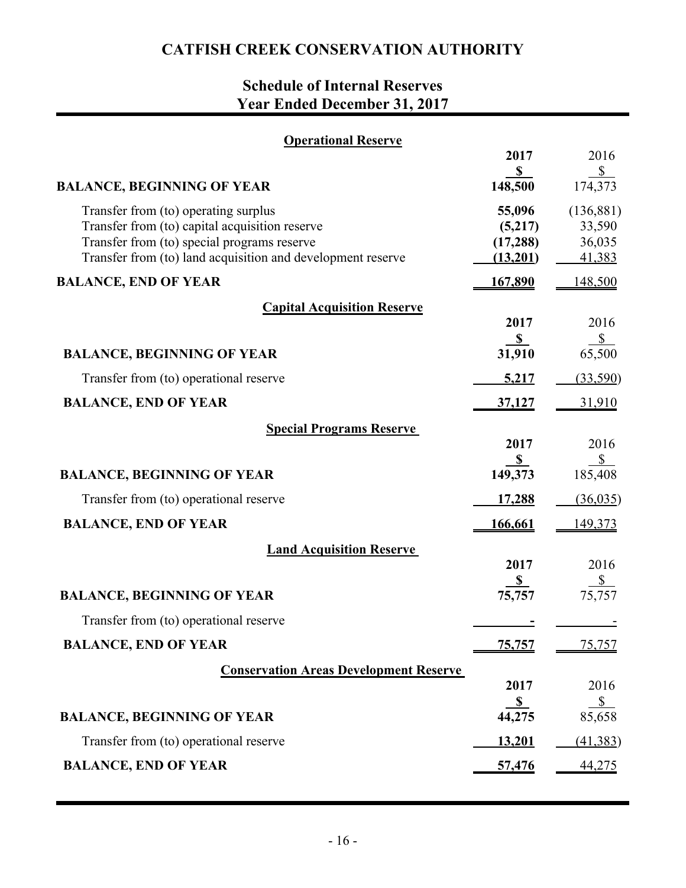# **Schedule of Internal Reserves Year Ended December 31, 2017**

| <b>Operational Reserve</b>                                                                                                                                                                           |                                            |                                          |
|------------------------------------------------------------------------------------------------------------------------------------------------------------------------------------------------------|--------------------------------------------|------------------------------------------|
|                                                                                                                                                                                                      | 2017<br>S                                  | 2016<br>$\sqrt{\frac{1}{2}}$             |
| <b>BALANCE, BEGINNING OF YEAR</b>                                                                                                                                                                    | 148,500                                    | 174,373                                  |
| Transfer from (to) operating surplus<br>Transfer from (to) capital acquisition reserve<br>Transfer from (to) special programs reserve<br>Transfer from (to) land acquisition and development reserve | 55,096<br>(5,217)<br>(17, 288)<br>(13,201) | (136, 881)<br>33,590<br>36,035<br>41,383 |
| <b>BALANCE, END OF YEAR</b>                                                                                                                                                                          | <u>167,890</u>                             | 148,500                                  |
| <b>Capital Acquisition Reserve</b>                                                                                                                                                                   |                                            |                                          |
|                                                                                                                                                                                                      | 2017                                       | 2016                                     |
| <b>BALANCE, BEGINNING OF YEAR</b>                                                                                                                                                                    | $\frac{\$}{31,910}$                        | $\frac{$}{65,500}$                       |
| Transfer from (to) operational reserve                                                                                                                                                               | 5,217                                      | (33,590)                                 |
| <b>BALANCE, END OF YEAR</b>                                                                                                                                                                          | <u>37,127</u>                              | 31,910                                   |
| <b>Special Programs Reserve</b>                                                                                                                                                                      | 2017                                       | 2016                                     |
| <b>BALANCE, BEGINNING OF YEAR</b>                                                                                                                                                                    | $\frac{\$}{149,373}$                       | $rac{$ }{185,408}$                       |
| Transfer from (to) operational reserve                                                                                                                                                               | <u>17,288</u>                              | (36, 035)                                |
| <b>BALANCE, END OF YEAR</b>                                                                                                                                                                          | 166,661                                    | 149,373                                  |
| <b>Land Acquisition Reserve</b>                                                                                                                                                                      |                                            |                                          |
|                                                                                                                                                                                                      | 2017                                       | 2016                                     |
| <b>BALANCE, BEGINNING OF YEAR</b>                                                                                                                                                                    | $\frac{\$}{75,757}$                        | $\frac{\$}{75,757}$                      |
| Transfer from (to) operational reserve                                                                                                                                                               |                                            |                                          |
| <b>BALANCE, END OF YEAR</b>                                                                                                                                                                          | <u>75,757</u>                              | <u>75,757</u>                            |
| <b>Conservation Areas Development Reserve</b>                                                                                                                                                        |                                            |                                          |
|                                                                                                                                                                                                      | 2017                                       | 2016<br>S                                |
| <b>BALANCE, BEGINNING OF YEAR</b>                                                                                                                                                                    | $\frac{\$}{44,275}$                        | 85,658                                   |
| Transfer from (to) operational reserve                                                                                                                                                               | 13,201                                     | (41, 383)                                |
| <b>BALANCE, END OF YEAR</b>                                                                                                                                                                          | 57,476                                     | 44,275                                   |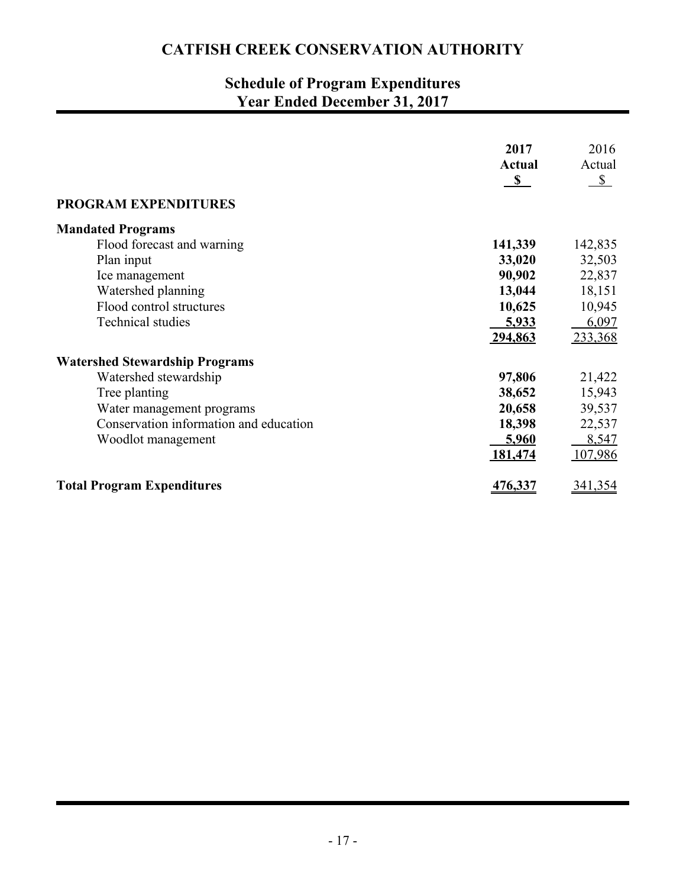# **Schedule of Program Expenditures Year Ended December 31, 2017**

| <b>PROGRAM EXPENDITURES</b>            | 2017<br>Actual<br>$\mathbf{s}$ | 2016<br>Actual<br>$\sqrt{\ }$ |
|----------------------------------------|--------------------------------|-------------------------------|
| <b>Mandated Programs</b>               |                                |                               |
| Flood forecast and warning             | 141,339                        | 142,835                       |
| Plan input                             | 33,020                         | 32,503                        |
| Ice management                         | 90,902                         | 22,837                        |
| Watershed planning                     | 13,044                         | 18,151                        |
| Flood control structures               | 10,625                         | 10,945                        |
| <b>Technical studies</b>               | 5,933                          | 6,097                         |
|                                        | 294,863                        | 233,368                       |
| <b>Watershed Stewardship Programs</b>  |                                |                               |
| Watershed stewardship                  | 97,806                         | 21,422                        |
| Tree planting                          | 38,652                         | 15,943                        |
| Water management programs              | 20,658                         | 39,537                        |
| Conservation information and education | 18,398                         | 22,537                        |
| Woodlot management                     | 5,960                          | 8,547                         |
|                                        | 181,474                        | 107,986                       |
| <b>Total Program Expenditures</b>      | 476,337                        | 341,354                       |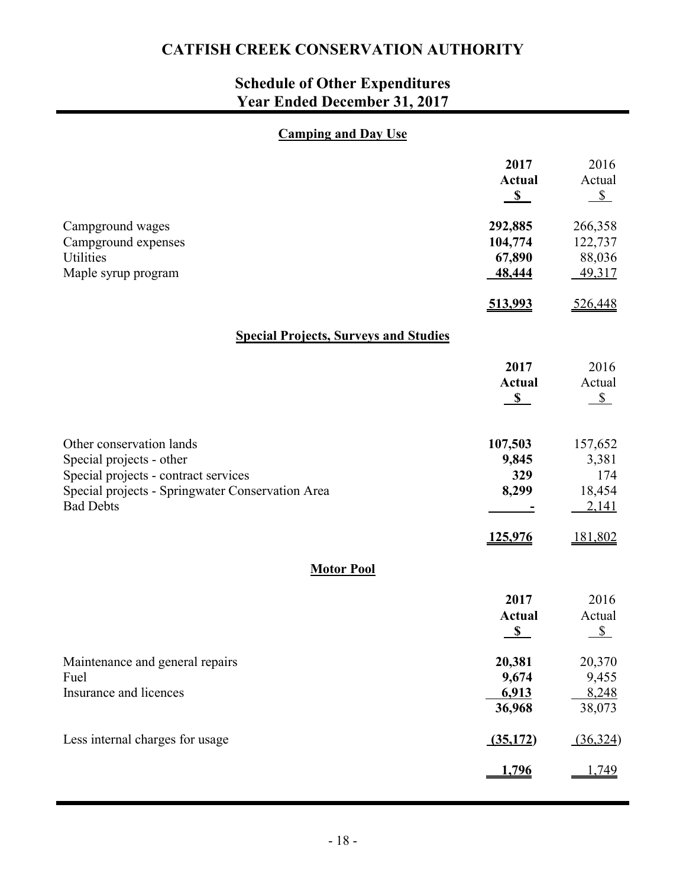# **Schedule of Other Expenditures Year Ended December 31, 2017**

## **Camping and Day Use**

|                                                                                                                                                                      | 2017<br><b>Actual</b><br>$\mathbf{s}$              | 2016<br>Actual<br>$S_{-}$                  |
|----------------------------------------------------------------------------------------------------------------------------------------------------------------------|----------------------------------------------------|--------------------------------------------|
| Campground wages<br>Campground expenses<br>Utilities<br>Maple syrup program                                                                                          | 292,885<br>104,774<br>67,890<br>48,444             | 266,358<br>122,737<br>88,036<br>49,317     |
|                                                                                                                                                                      | 513,993                                            | 526,448                                    |
| <b>Special Projects, Surveys and Studies</b>                                                                                                                         |                                                    |                                            |
|                                                                                                                                                                      | 2017<br><b>Actual</b><br>S                         | 2016<br>Actual<br>$\mathbb{S}$             |
| Other conservation lands<br>Special projects - other<br>Special projects - contract services<br>Special projects - Springwater Conservation Area<br><b>Bad Debts</b> | 107,503<br>9,845<br>329<br>8,299                   | 157,652<br>3,381<br>174<br>18,454<br>2,141 |
|                                                                                                                                                                      | 125,976                                            | 181,802                                    |
| <b>Motor Pool</b>                                                                                                                                                    |                                                    |                                            |
|                                                                                                                                                                      | 2017<br><b>Actual</b><br>$\boldsymbol{\mathsf{S}}$ | 2016<br>Actual<br>S                        |
| Maintenance and general repairs<br>Fuel<br>Insurance and licences                                                                                                    | 20,381<br>9,674<br>6,913<br>36,968                 | 20,370<br>9,455<br>8,248<br>38,073         |
| Less internal charges for usage                                                                                                                                      | (35,172)                                           | (36, 324)                                  |
|                                                                                                                                                                      | <u>1,796</u>                                       | 1,749                                      |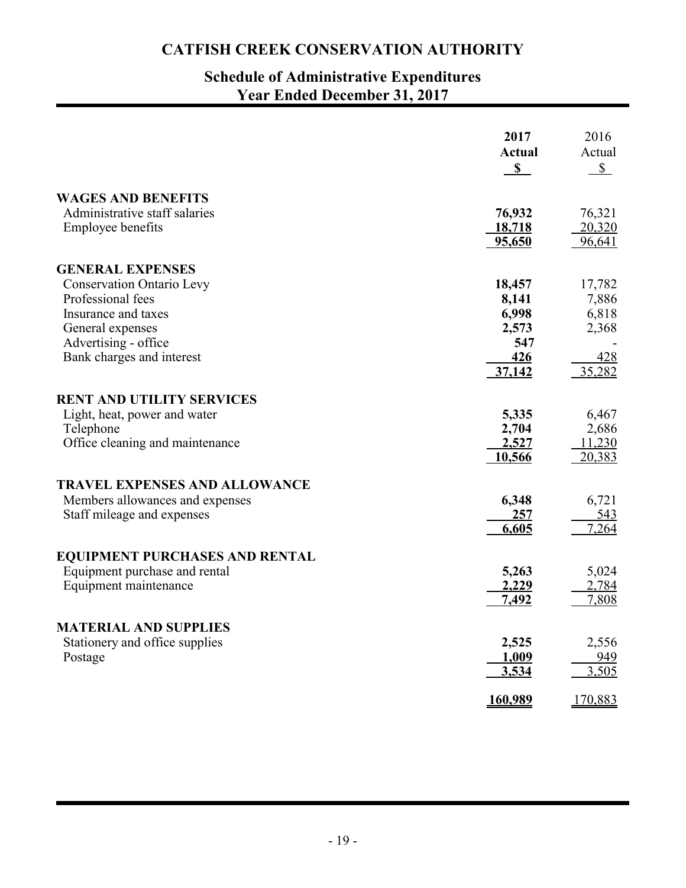## **Schedule of Administrative Expenditures Year Ended December 31, 2017**

|                                       | 2017<br><b>Actual</b><br>$\mathbf{s}$ | 2016<br>Actual<br>$\mathbb{S}$ |
|---------------------------------------|---------------------------------------|--------------------------------|
| <b>WAGES AND BENEFITS</b>             |                                       |                                |
| Administrative staff salaries         | 76,932                                | 76,321                         |
| <b>Employee benefits</b>              | 18,718                                | 20,320                         |
|                                       | 95,650                                | 96,641                         |
| <b>GENERAL EXPENSES</b>               |                                       |                                |
| <b>Conservation Ontario Levy</b>      | 18,457                                | 17,782                         |
| Professional fees                     | 8,141                                 | 7,886                          |
| Insurance and taxes                   | 6,998                                 | 6,818                          |
| General expenses                      | 2,573                                 | 2,368                          |
| Advertising - office                  | 547                                   |                                |
| Bank charges and interest             | 426                                   | 428                            |
|                                       | 37,142                                | 35,282                         |
| <b>RENT AND UTILITY SERVICES</b>      |                                       |                                |
| Light, heat, power and water          | 5,335                                 | 6,467                          |
| Telephone                             | 2,704                                 | 2,686                          |
| Office cleaning and maintenance       | 2,527                                 | 11,230                         |
|                                       | 10,566                                | 20,383                         |
| <b>TRAVEL EXPENSES AND ALLOWANCE</b>  |                                       |                                |
| Members allowances and expenses       | 6,348                                 | 6,721                          |
| Staff mileage and expenses            | 257                                   | <u>543</u>                     |
|                                       | 6,605                                 | 7,264                          |
|                                       |                                       |                                |
| <b>EQUIPMENT PURCHASES AND RENTAL</b> |                                       |                                |
| Equipment purchase and rental         | 5,263                                 | 5,024                          |
| Equipment maintenance                 | 2,229                                 | 2,784                          |
|                                       | 7,492                                 | 7,808                          |
| <b>MATERIAL AND SUPPLIES</b>          |                                       |                                |
| Stationery and office supplies        | 2,525                                 | 2,556                          |
| Postage                               | 1,009                                 | 949                            |
|                                       | 3,534                                 | 3,505                          |
|                                       | 160,989                               | 170,883                        |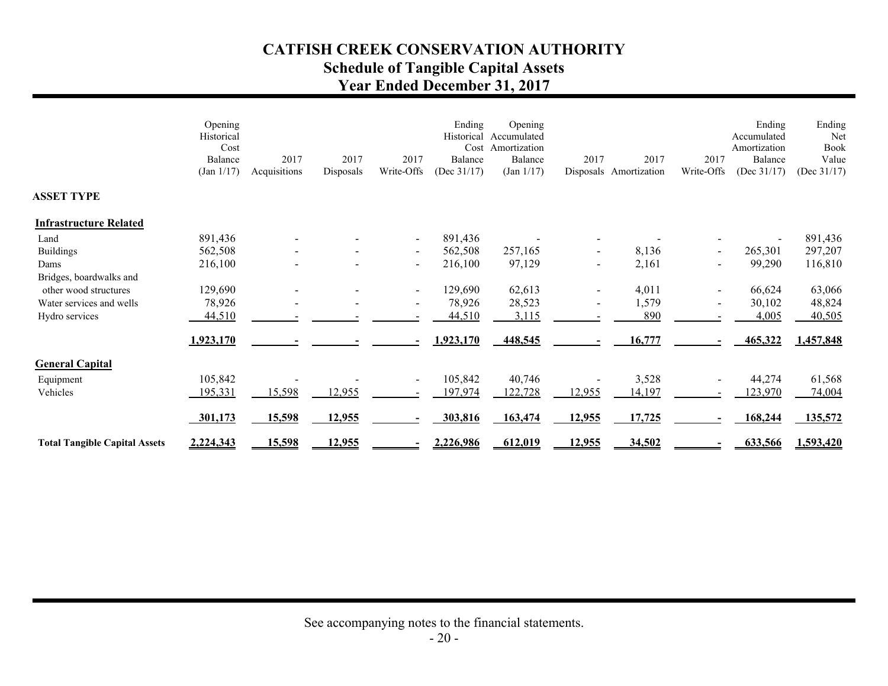# **CATFISH CREEK CONSERVATION AUTHORITY Schedule of Tangible Capital Assets Year Ended December 31, 2017**

|                                      | Opening<br>Historical<br>Cost<br>Balance<br>(Jan 1/17) | 2017<br>Acquisitions | 2017<br>Disposals | 2017<br>Write-Offs       | Ending<br>Historical<br>Cost<br>Balance<br>(Dec $31/17$ ) | Opening<br>Accumulated<br>Amortization<br>Balance<br>(Jan 1/17) | 2017   | 2017<br>Disposals Amortization | 2017<br>Write-Offs       | Ending<br>Accumulated<br>Amortization<br>Balance<br>(Dec $31/17$ ) | Ending<br>Net<br>Book<br>Value<br>(Dec $31/17$ ) |
|--------------------------------------|--------------------------------------------------------|----------------------|-------------------|--------------------------|-----------------------------------------------------------|-----------------------------------------------------------------|--------|--------------------------------|--------------------------|--------------------------------------------------------------------|--------------------------------------------------|
| <b>ASSET TYPE</b>                    |                                                        |                      |                   |                          |                                                           |                                                                 |        |                                |                          |                                                                    |                                                  |
| <b>Infrastructure Related</b>        |                                                        |                      |                   |                          |                                                           |                                                                 |        |                                |                          |                                                                    |                                                  |
| Land                                 | 891,436                                                |                      |                   | $\sim$                   | 891,436                                                   |                                                                 |        |                                |                          |                                                                    | 891,436                                          |
| <b>Buildings</b>                     | 562,508                                                |                      |                   | $\sim$                   | 562,508                                                   | 257,165                                                         |        | 8,136                          | $\overline{\phantom{0}}$ | 265,301                                                            | 297,207                                          |
| Dams                                 | 216,100                                                |                      |                   | $\overline{\phantom{a}}$ | 216,100                                                   | 97,129                                                          |        | 2,161                          |                          | 99,290                                                             | 116,810                                          |
| Bridges, boardwalks and              |                                                        |                      |                   |                          |                                                           |                                                                 |        |                                |                          |                                                                    |                                                  |
| other wood structures                | 129,690                                                |                      |                   | $\sim$                   | 129,690                                                   | 62,613                                                          |        | 4,011                          |                          | 66,624                                                             | 63,066                                           |
| Water services and wells             | 78,926                                                 |                      |                   | $\blacksquare$           | 78,926                                                    | 28,523                                                          |        | 1,579                          | $\blacksquare$           | 30,102                                                             | 48,824                                           |
| Hydro services                       | 44,510                                                 |                      |                   |                          | 44,510                                                    | 3,115                                                           |        | 890                            |                          | 4,005                                                              | 40,505                                           |
|                                      | 1,923,170                                              |                      |                   |                          | 1,923,170                                                 | 448,545                                                         |        | 16,777                         |                          | 465,322                                                            | 1,457,848                                        |
| <b>General Capital</b>               |                                                        |                      |                   |                          |                                                           |                                                                 |        |                                |                          |                                                                    |                                                  |
| Equipment                            | 105,842                                                |                      |                   | $\blacksquare$           | 105,842                                                   | 40,746                                                          |        | 3,528                          |                          | 44,274                                                             | 61,568                                           |
| Vehicles                             | 195,331                                                | 15,598               | 12,955            |                          | 197,974                                                   | 122,728                                                         | 12,955 | 14,197                         |                          | 123,970                                                            | 74,004                                           |
|                                      |                                                        |                      |                   |                          |                                                           |                                                                 |        |                                |                          |                                                                    |                                                  |
|                                      | 301,173                                                | 15,598               | 12,955            |                          | 303,816                                                   | 163,474                                                         | 12,955 | 17,725                         |                          | 168,244                                                            | 135,572                                          |
| <b>Total Tangible Capital Assets</b> | 2,224,343                                              | 15,598               | 12,955            | $\blacksquare$           | 2,226,986                                                 | 612,019                                                         | 12,955 | 34,502                         |                          | 633,566                                                            | 1,593,420                                        |